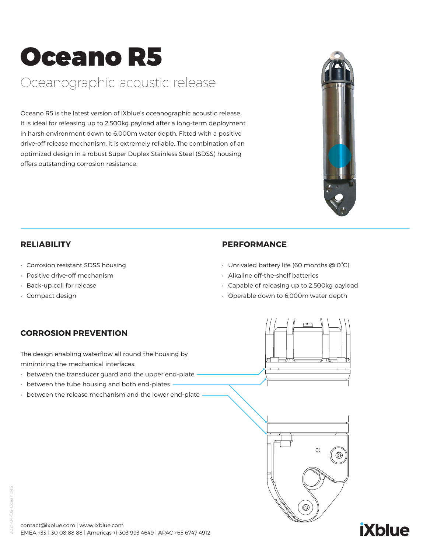# Oceano R5

### Oceanographic acoustic release

Oceano R5 is the latest version of iXblue's oceanographic acoustic release. It is ideal for releasing up to 2,500kg payload after a long-term deployment in harsh environment down to 6,000m water depth. Fitted with a positive drive-off release mechanism, it is extremely reliable. The combination of an optimized design in a robust Super Duplex Stainless Steel (SDSS) housing offers outstanding corrosion resistance.



#### **RELIABILITY**

- Corrosion resistant SDSS housing
- Positive drive-off mechanism
- Back-up cell for release
- Compact design

#### **PERFORMANCE**

- Unrivaled battery life (60 months @ 0°C)
- Alkaline off-the-shelf batteries
- Capable of releasing up to 2,500kg payload
- Operable down to 6,000m water depth

#### **CORROSION PREVENTION**

The design enabling waterflow all round the housing by minimizing the mechanical interfaces:

- between the transducer guard and the upper end-plate
- between the tube housing and both end-plates
- between the release mechanism and the lower end-plate





## **iXblue**